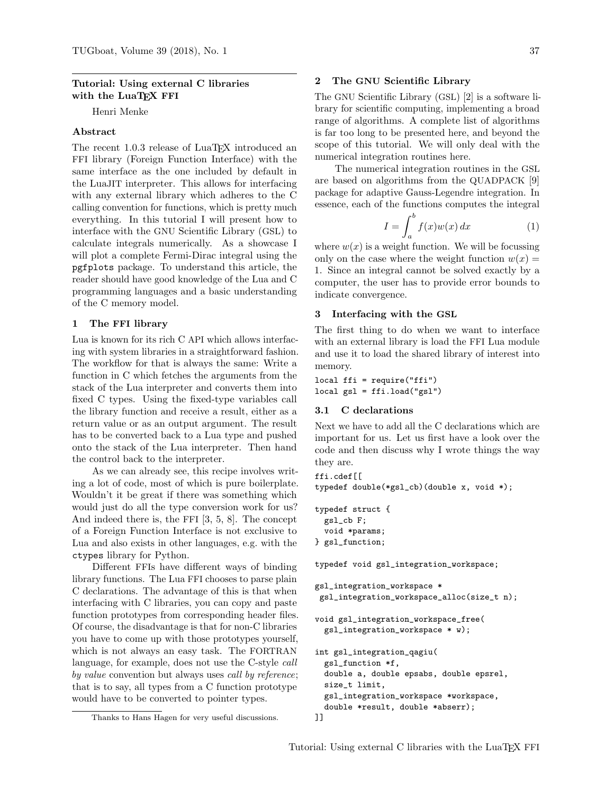## Tutorial: Using external C libraries with the LuaTFX FFI

Henri Menke

## Abstract

The recent 1.0.3 release of LuaT<sub>EX</sub> introduced an FFI library (Foreign Function Interface) with the same interface as the one included by default in the LuaJIT interpreter. This allows for interfacing with any external library which adheres to the C calling convention for functions, which is pretty much everything. In this tutorial I will present how to interface with the GNU Scientific Library (GSL) to calculate integrals numerically. As a showcase I will plot a complete Fermi-Dirac integral using the pgfplots package. To understand this article, the reader should have good knowledge of the Lua and C programming languages and a basic understanding of the C memory model.

#### 1 The FFI library

Lua is known for its rich C API which allows interfacing with system libraries in a straightforward fashion. The workflow for that is always the same: Write a function in C which fetches the arguments from the stack of the Lua interpreter and converts them into fixed C types. Using the fixed-type variables call the library function and receive a result, either as a return value or as an output argument. The result has to be converted back to a Lua type and pushed onto the stack of the Lua interpreter. Then hand the control back to the interpreter.

As we can already see, this recipe involves writing a lot of code, most of which is pure boilerplate. Wouldn't it be great if there was something which would just do all the type conversion work for us? And indeed there is, the FFI [3, 5, 8]. The concept of a Foreign Function Interface is not exclusive to Lua and also exists in other languages, e.g. with the ctypes library for Python.

Different FFIs have different ways of binding library functions. The Lua FFI chooses to parse plain C declarations. The advantage of this is that when interfacing with C libraries, you can copy and paste function prototypes from corresponding header files. Of course, the disadvantage is that for non-C libraries you have to come up with those prototypes yourself, which is not always an easy task. The FORTRAN language, for example, does not use the C-style call by value convention but always uses call by reference; that is to say, all types from a C function prototype would have to be converted to pointer types.

### 2 The GNU Scientific Library

The GNU Scientific Library (GSL) [2] is a software library for scientific computing, implementing a broad range of algorithms. A complete list of algorithms is far too long to be presented here, and beyond the scope of this tutorial. We will only deal with the numerical integration routines here.

The numerical integration routines in the GSL are based on algorithms from the QUADPACK [9] package for adaptive Gauss-Legendre integration. In essence, each of the functions computes the integral

$$
I = \int_{a}^{b} f(x)w(x) dx \tag{1}
$$

where  $w(x)$  is a weight function. We will be focussing only on the case where the weight function  $w(x) =$ 1. Since an integral cannot be solved exactly by a computer, the user has to provide error bounds to indicate convergence.

### 3 Interfacing with the GSL

The first thing to do when we want to interface with an external library is load the FFI Lua module and use it to load the shared library of interest into memory.

local ffi = require("ffi") local gsl = ffi.load("gsl")

### 3.1 C declarations

Next we have to add all the C declarations which are important for us. Let us first have a look over the code and then discuss why I wrote things the way they are.

```
ffi.cdef[[
```

```
typedef double(*gsl_cb)(double x, void *);
```

```
typedef struct {
 gsl_cb F;
 void *params;
```
} gsl\_function;

typedef void gsl\_integration\_workspace;

```
gsl_integration_workspace *
gsl_integration_workspace_alloc(size_t n);
```

```
void gsl_integration_workspace_free(
 gsl_integration_workspace * w);
```

```
int gsl_integration_qagiu(
  gsl_function *f,
  double a, double epsabs, double epsrel,
  size_t limit,
  gsl_integration_workspace *workspace,
  double *result, double *abserr);
]]
```
Thanks to Hans Hagen for very useful discussions.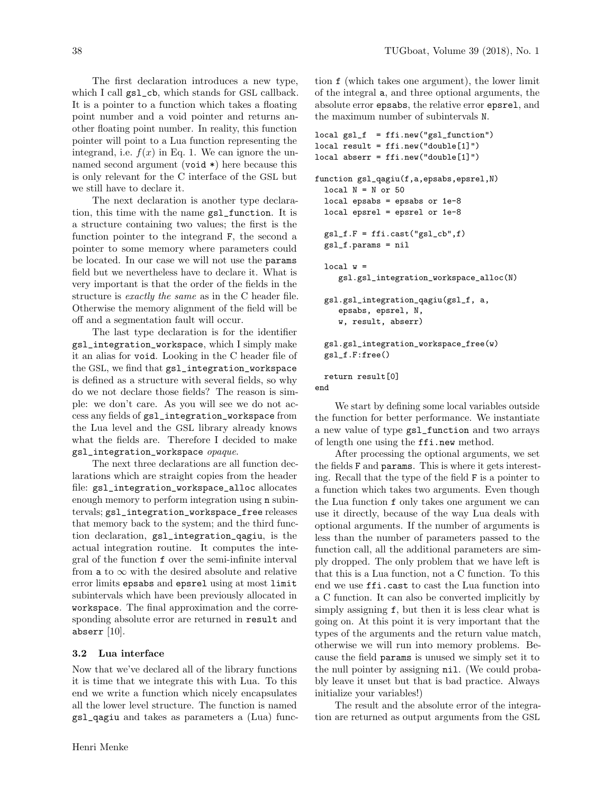The first declaration introduces a new type, which I call gsl\_cb, which stands for GSL callback. It is a pointer to a function which takes a floating point number and a void pointer and returns another floating point number. In reality, this function pointer will point to a Lua function representing the integrand, i.e.  $f(x)$  in Eq. 1. We can ignore the unnamed second argument (void \*) here because this is only relevant for the C interface of the GSL but we still have to declare it.

The next declaration is another type declaration, this time with the name gsl\_function. It is a structure containing two values; the first is the function pointer to the integrand F, the second a pointer to some memory where parameters could be located. In our case we will not use the params field but we nevertheless have to declare it. What is very important is that the order of the fields in the structure is exactly the same as in the C header file. Otherwise the memory alignment of the field will be off and a segmentation fault will occur.

The last type declaration is for the identifier gsl\_integration\_workspace, which I simply make it an alias for void. Looking in the C header file of the GSL, we find that gsl\_integration\_workspace is defined as a structure with several fields, so why do we not declare those fields? The reason is simple: we don't care. As you will see we do not access any fields of gsl\_integration\_workspace from the Lua level and the GSL library already knows what the fields are. Therefore I decided to make gsl\_integration\_workspace opaque.

The next three declarations are all function declarations which are straight copies from the header file: gsl\_integration\_workspace\_alloc allocates enough memory to perform integration using n subintervals; gsl\_integration\_workspace\_free releases that memory back to the system; and the third function declaration, gsl\_integration\_qagiu, is the actual integration routine. It computes the integral of the function f over the semi-infinite interval from a to  $\infty$  with the desired absolute and relative error limits epsabs and epsrel using at most limit subintervals which have been previously allocated in workspace. The final approximation and the corresponding absolute error are returned in result and abserr  $[10]$ .

#### 3.2 Lua interface

Now that we've declared all of the library functions it is time that we integrate this with Lua. To this end we write a function which nicely encapsulates all the lower level structure. The function is named gsl\_qagiu and takes as parameters a (Lua) function f (which takes one argument), the lower limit of the integral a, and three optional arguments, the absolute error epsabs, the relative error epsrel, and the maximum number of subintervals N.

```
local gsl_f = ffi.new("gsl_function")
local result = ffi.new("double[1]")
local abserr = ffi.new("double[1]")
function gsl_qagiu(f,a,epsabs,epsrel,N)
 local N = N or 50
 local epsabs = epsabs or 1e-8local epsrel = epsrel or 1e-8
 gsl_f.F = ffi.cast("gsl_cb", f)gsl_f.params = nil
 local w =gsl.gsl_integration_workspace_alloc(N)
 gsl.gsl_integration_qagiu(gsl_f, a,
    epsabs, epsrel, N,
    w, result, abserr)
 gsl.gsl_integration_workspace_free(w)
 gsl_f.F:free()
 return result[0]
end
```
We start by defining some local variables outside the function for better performance. We instantiate a new value of type gsl\_function and two arrays of length one using the ffi.new method.

After processing the optional arguments, we set the fields F and params. This is where it gets interesting. Recall that the type of the field F is a pointer to a function which takes two arguments. Even though the Lua function f only takes one argument we can use it directly, because of the way Lua deals with optional arguments. If the number of arguments is less than the number of parameters passed to the function call, all the additional parameters are simply dropped. The only problem that we have left is that this is a Lua function, not a C function. To this end we use ffi.cast to cast the Lua function into a C function. It can also be converted implicitly by simply assigning f, but then it is less clear what is going on. At this point it is very important that the types of the arguments and the return value match, otherwise we will run into memory problems. Because the field params is unused we simply set it to the null pointer by assigning nil. (We could probably leave it unset but that is bad practice. Always initialize your variables!)

The result and the absolute error of the integration are returned as output arguments from the GSL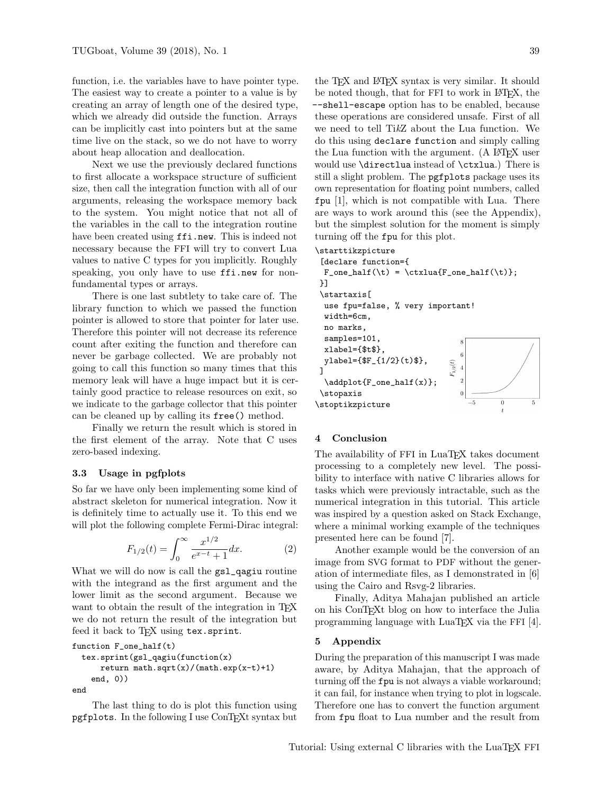function, i.e. the variables have to have pointer type. The easiest way to create a pointer to a value is by creating an array of length one of the desired type, which we already did outside the function. Arrays can be implicitly cast into pointers but at the same time live on the stack, so we do not have to worry about heap allocation and deallocation.

Next we use the previously declared functions to first allocate a workspace structure of sufficient size, then call the integration function with all of our arguments, releasing the workspace memory back to the system. You might notice that not all of the variables in the call to the integration routine have been created using ffi.new. This is indeed not necessary because the FFI will try to convert Lua values to native C types for you implicitly. Roughly speaking, you only have to use ffi.new for nonfundamental types or arrays.

There is one last subtlety to take care of. The library function to which we passed the function pointer is allowed to store that pointer for later use. Therefore this pointer will not decrease its reference count after exiting the function and therefore can never be garbage collected. We are probably not going to call this function so many times that this memory leak will have a huge impact but it is certainly good practice to release resources on exit, so we indicate to the garbage collector that this pointer can be cleaned up by calling its free() method.

Finally we return the result which is stored in the first element of the array. Note that C uses zero-based indexing.

### 3.3 Usage in pgfplots

So far we have only been implementing some kind of abstract skeleton for numerical integration. Now it is definitely time to actually use it. To this end we will plot the following complete Fermi-Dirac integral:

$$
F_{1/2}(t) = \int_0^\infty \frac{x^{1/2}}{e^{x-t} + 1} dx.
$$
 (2)

What we will do now is call the  $gs1_q$ agiu routine with the integrand as the first argument and the lower limit as the second argument. Because we want to obtain the result of the integration in T<sub>EX</sub> we do not return the result of the integration but feed it back to TEX using tex.sprint.

```
function F_one_half(t)
  tex.sprint(gsl_qagiu(function(x)
      return math.sqrt(x)/(\text{math.exp}(x-t)+1)end, 0))
end
```
The last thing to do is plot this function using pgfplots. In the following I use ConTEXt syntax but

the TEX and LATEX syntax is very similar. It should be noted though, that for FFI to work in LAT<sub>EX</sub>, the --shell-escape option has to be enabled, because these operations are considered unsafe. First of all we need to tell TikZ about the Lua function. We do this using declare function and simply calling the Lua function with the argument. (A LATEX user would use \directlua instead of \ctxlua.) There is still a slight problem. The pgfplots package uses its own representation for floating point numbers, called fpu [1], which is not compatible with Lua. There are ways to work around this (see the Appendix), but the simplest solution for the moment is simply turning off the fpu for this plot.

# \starttikzpicture

```
[declare function={
  F_{one\_half(\t)} = \text{tetx}[F_{one\_half(\t)};
}]
 \startaxis[
  use fpu=false, % very important!
  width=6cm,
  no marks,
  samples=101,
  xlabel={$t$},
  ylabel={$F_{1/2}(t)$},
                                F_{1/2}(t)]
  \addplot{F_one_half(x)};
 \stopaxis
                                             \theta\stoptikzpicture
```
### 4 Conclusion

The availability of FFI in LuaT<sub>EX</sub> takes document processing to a completely new level. The possibility to interface with native C libraries allows for tasks which were previously intractable, such as the numerical integration in this tutorial. This article was inspired by a question asked on Stack Exchange, where a minimal working example of the techniques presented here can be found [7].

Another example would be the conversion of an image from SVG format to PDF without the generation of intermediate files, as I demonstrated in [6] using the Cairo and Rsvg-2 libraries.

Finally, Aditya Mahajan published an article on his ConTEXt blog on how to interface the Julia programming language with LuaTEX via the FFI [4].

#### 5 Appendix

During the preparation of this manuscript I was made aware, by Aditya Mahajan, that the approach of turning off the fpu is not always a viable workaround; it can fail, for instance when trying to plot in logscale. Therefore one has to convert the function argument from fpu float to Lua number and the result from